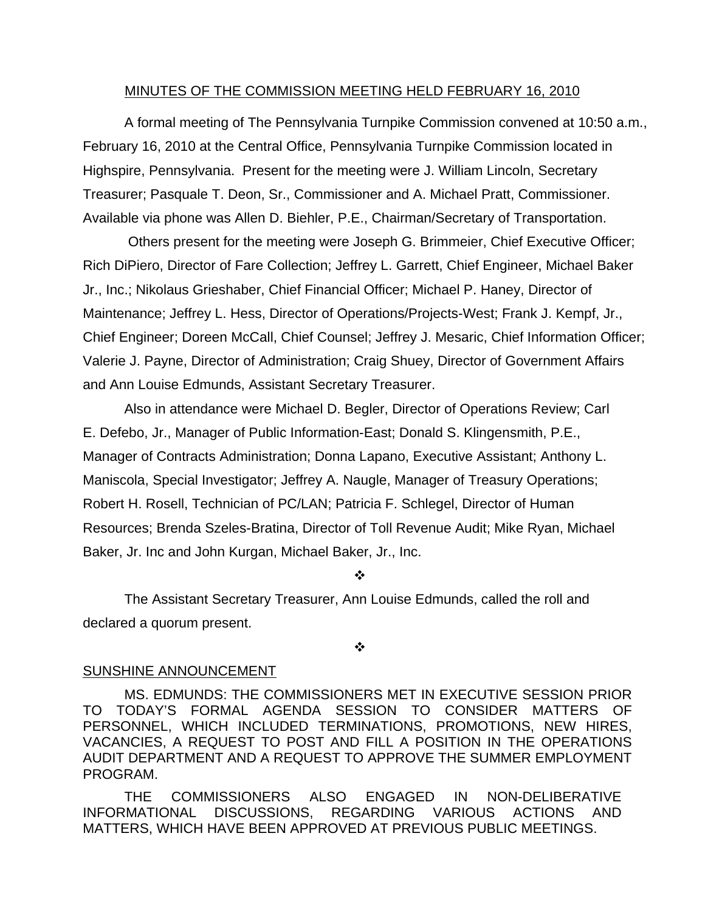#### MINUTES OF THE COMMISSION MEETING HELD FEBRUARY 16, 2010

 A formal meeting of The Pennsylvania Turnpike Commission convened at 10:50 a.m., February 16, 2010 at the Central Office, Pennsylvania Turnpike Commission located in Highspire, Pennsylvania. Present for the meeting were J. William Lincoln, Secretary Treasurer; Pasquale T. Deon, Sr., Commissioner and A. Michael Pratt, Commissioner. Available via phone was Allen D. Biehler, P.E., Chairman/Secretary of Transportation.

 Others present for the meeting were Joseph G. Brimmeier, Chief Executive Officer; Rich DiPiero, Director of Fare Collection; Jeffrey L. Garrett, Chief Engineer, Michael Baker Jr., Inc.; Nikolaus Grieshaber, Chief Financial Officer; Michael P. Haney, Director of Maintenance; Jeffrey L. Hess, Director of Operations/Projects-West; Frank J. Kempf, Jr., Chief Engineer; Doreen McCall, Chief Counsel; Jeffrey J. Mesaric, Chief Information Officer; Valerie J. Payne, Director of Administration; Craig Shuey, Director of Government Affairs and Ann Louise Edmunds, Assistant Secretary Treasurer.

Also in attendance were Michael D. Begler, Director of Operations Review; Carl E. Defebo, Jr., Manager of Public Information-East; Donald S. Klingensmith, P.E., Manager of Contracts Administration; Donna Lapano, Executive Assistant; Anthony L. Maniscola, Special Investigator; Jeffrey A. Naugle, Manager of Treasury Operations; Robert H. Rosell, Technician of PC/LAN; Patricia F. Schlegel, Director of Human Resources; Brenda Szeles-Bratina, Director of Toll Revenue Audit; Mike Ryan, Michael Baker, Jr. Inc and John Kurgan, Michael Baker, Jr., Inc.

❖

The Assistant Secretary Treasurer, Ann Louise Edmunds, called the roll and declared a quorum present.

❖

#### SUNSHINE ANNOUNCEMENT

MS. EDMUNDS: THE COMMISSIONERS MET IN EXECUTIVE SESSION PRIOR TO TODAY'S FORMAL AGENDA SESSION TO CONSIDER MATTERS OF PERSONNEL, WHICH INCLUDED TERMINATIONS, PROMOTIONS, NEW HIRES, VACANCIES, A REQUEST TO POST AND FILL A POSITION IN THE OPERATIONS AUDIT DEPARTMENT AND A REQUEST TO APPROVE THE SUMMER EMPLOYMENT PROGRAM.

THE COMMISSIONERS ALSO ENGAGED IN NON-DELIBERATIVE INFORMATIONAL DISCUSSIONS, REGARDING VARIOUS ACTIONS AND MATTERS, WHICH HAVE BEEN APPROVED AT PREVIOUS PUBLIC MEETINGS.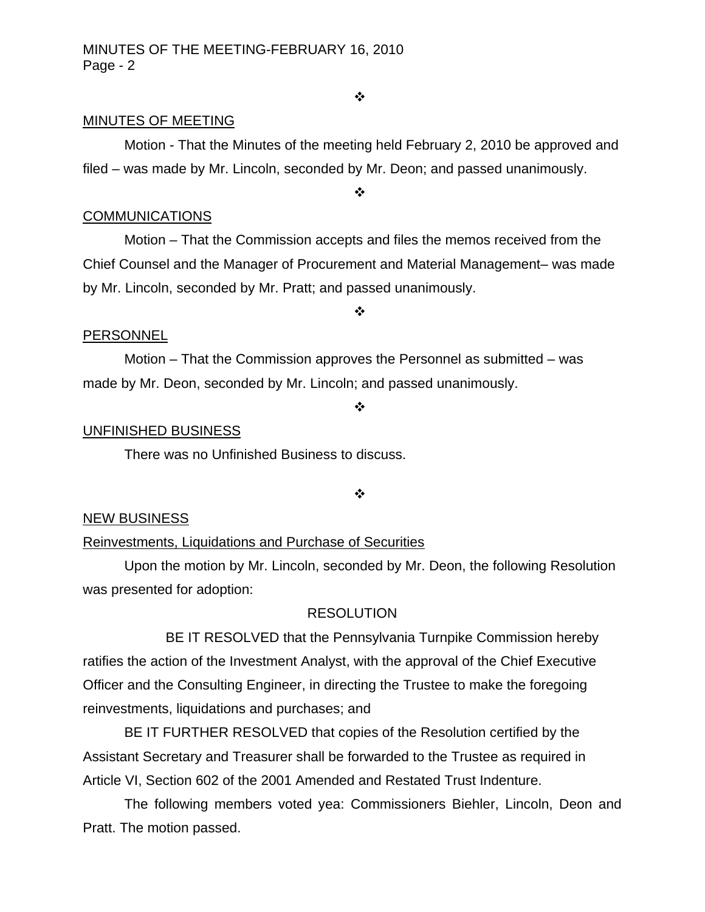#### ❖

#### MINUTES OF MEETING

Motion - That the Minutes of the meeting held February 2, 2010 be approved and filed – was made by Mr. Lincoln, seconded by Mr. Deon; and passed unanimously.

❖

#### **COMMUNICATIONS**

**PERSONNEL** 

 Motion – That the Commission accepts and files the memos received from the Chief Counsel and the Manager of Procurement and Material Management– was made by Mr. Lincoln, seconded by Mr. Pratt; and passed unanimously.

❖

 Motion – That the Commission approves the Personnel as submitted – was made by Mr. Deon, seconded by Mr. Lincoln; and passed unanimously.

#### ❖

#### UNFINISHED BUSINESS

There was no Unfinished Business to discuss.

❖

#### NEW BUSINESS

#### Reinvestments, Liquidations and Purchase of Securities

 Upon the motion by Mr. Lincoln, seconded by Mr. Deon, the following Resolution was presented for adoption:

#### RESOLUTION

 BE IT RESOLVED that the Pennsylvania Turnpike Commission hereby ratifies the action of the Investment Analyst, with the approval of the Chief Executive Officer and the Consulting Engineer, in directing the Trustee to make the foregoing reinvestments, liquidations and purchases; and

 BE IT FURTHER RESOLVED that copies of the Resolution certified by the Assistant Secretary and Treasurer shall be forwarded to the Trustee as required in Article VI, Section 602 of the 2001 Amended and Restated Trust Indenture.

The following members voted yea: Commissioners Biehler, Lincoln, Deon and Pratt. The motion passed.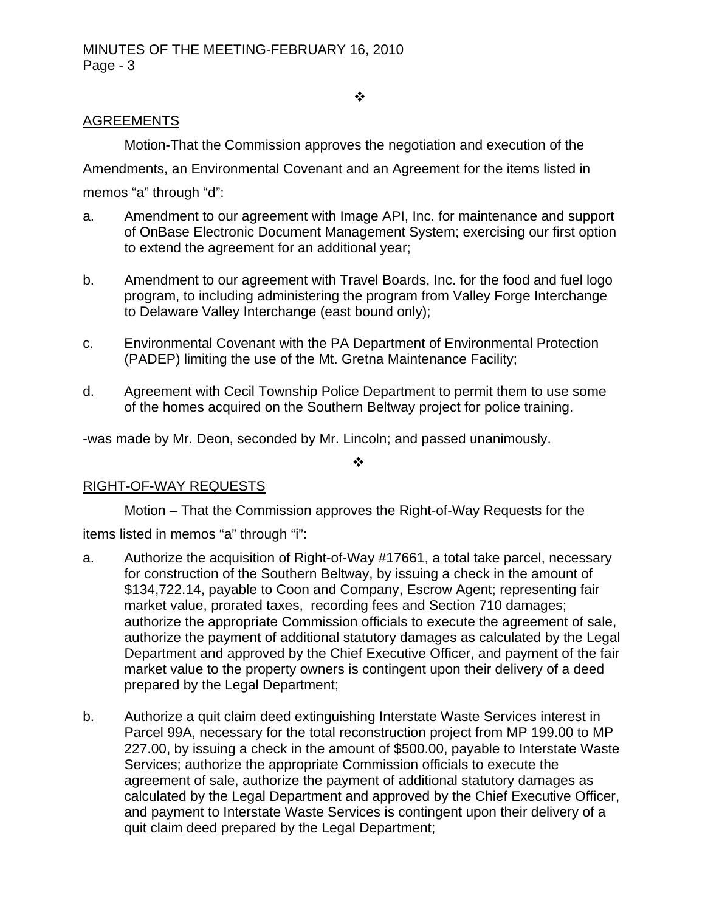#### $\ddot{\cdot}$

# AGREEMENTS

Motion-That the Commission approves the negotiation and execution of the

Amendments, an Environmental Covenant and an Agreement for the items listed in memos "a" through "d":

- a. Amendment to our agreement with Image API, Inc. for maintenance and support of OnBase Electronic Document Management System; exercising our first option to extend the agreement for an additional year;
- b. Amendment to our agreement with Travel Boards, Inc. for the food and fuel logo program, to including administering the program from Valley Forge Interchange to Delaware Valley Interchange (east bound only);
- c. Environmental Covenant with the PA Department of Environmental Protection (PADEP) limiting the use of the Mt. Gretna Maintenance Facility;
- d. Agreement with Cecil Township Police Department to permit them to use some of the homes acquired on the Southern Beltway project for police training.

-was made by Mr. Deon, seconded by Mr. Lincoln; and passed unanimously.

 $\cdot$ 

# RIGHT-OF-WAY REQUESTS

Motion – That the Commission approves the Right-of-Way Requests for the

items listed in memos "a" through "i":

- a. Authorize the acquisition of Right-of-Way #17661, a total take parcel, necessary for construction of the Southern Beltway, by issuing a check in the amount of \$134,722.14, payable to Coon and Company, Escrow Agent; representing fair market value, prorated taxes, recording fees and Section 710 damages; authorize the appropriate Commission officials to execute the agreement of sale, authorize the payment of additional statutory damages as calculated by the Legal Department and approved by the Chief Executive Officer, and payment of the fair market value to the property owners is contingent upon their delivery of a deed prepared by the Legal Department;
- b. Authorize a quit claim deed extinguishing Interstate Waste Services interest in Parcel 99A, necessary for the total reconstruction project from MP 199.00 to MP 227.00, by issuing a check in the amount of \$500.00, payable to Interstate Waste Services; authorize the appropriate Commission officials to execute the agreement of sale, authorize the payment of additional statutory damages as calculated by the Legal Department and approved by the Chief Executive Officer, and payment to Interstate Waste Services is contingent upon their delivery of a quit claim deed prepared by the Legal Department;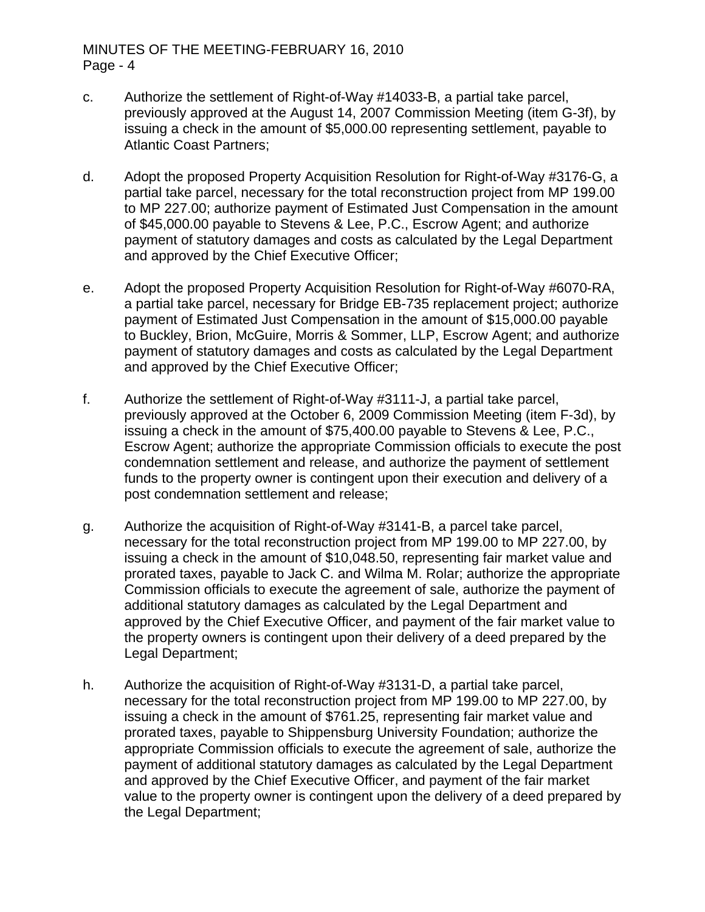- c. Authorize the settlement of Right-of-Way #14033-B, a partial take parcel, previously approved at the August 14, 2007 Commission Meeting (item G-3f), by issuing a check in the amount of \$5,000.00 representing settlement, payable to Atlantic Coast Partners;
- d. Adopt the proposed Property Acquisition Resolution for Right-of-Way #3176-G, a partial take parcel, necessary for the total reconstruction project from MP 199.00 to MP 227.00; authorize payment of Estimated Just Compensation in the amount of \$45,000.00 payable to Stevens & Lee, P.C., Escrow Agent; and authorize payment of statutory damages and costs as calculated by the Legal Department and approved by the Chief Executive Officer;
- e. Adopt the proposed Property Acquisition Resolution for Right-of-Way #6070-RA, a partial take parcel, necessary for Bridge EB-735 replacement project; authorize payment of Estimated Just Compensation in the amount of \$15,000.00 payable to Buckley, Brion, McGuire, Morris & Sommer, LLP, Escrow Agent; and authorize payment of statutory damages and costs as calculated by the Legal Department and approved by the Chief Executive Officer;
- f. Authorize the settlement of Right-of-Way #3111-J, a partial take parcel, previously approved at the October 6, 2009 Commission Meeting (item F-3d), by issuing a check in the amount of \$75,400.00 payable to Stevens & Lee, P.C., Escrow Agent; authorize the appropriate Commission officials to execute the post condemnation settlement and release, and authorize the payment of settlement funds to the property owner is contingent upon their execution and delivery of a post condemnation settlement and release;
- g. Authorize the acquisition of Right-of-Way #3141-B, a parcel take parcel, necessary for the total reconstruction project from MP 199.00 to MP 227.00, by issuing a check in the amount of \$10,048.50, representing fair market value and prorated taxes, payable to Jack C. and Wilma M. Rolar; authorize the appropriate Commission officials to execute the agreement of sale, authorize the payment of additional statutory damages as calculated by the Legal Department and approved by the Chief Executive Officer, and payment of the fair market value to the property owners is contingent upon their delivery of a deed prepared by the Legal Department;
- h. Authorize the acquisition of Right-of-Way #3131-D, a partial take parcel, necessary for the total reconstruction project from MP 199.00 to MP 227.00, by issuing a check in the amount of \$761.25, representing fair market value and prorated taxes, payable to Shippensburg University Foundation; authorize the appropriate Commission officials to execute the agreement of sale, authorize the payment of additional statutory damages as calculated by the Legal Department and approved by the Chief Executive Officer, and payment of the fair market value to the property owner is contingent upon the delivery of a deed prepared by the Legal Department;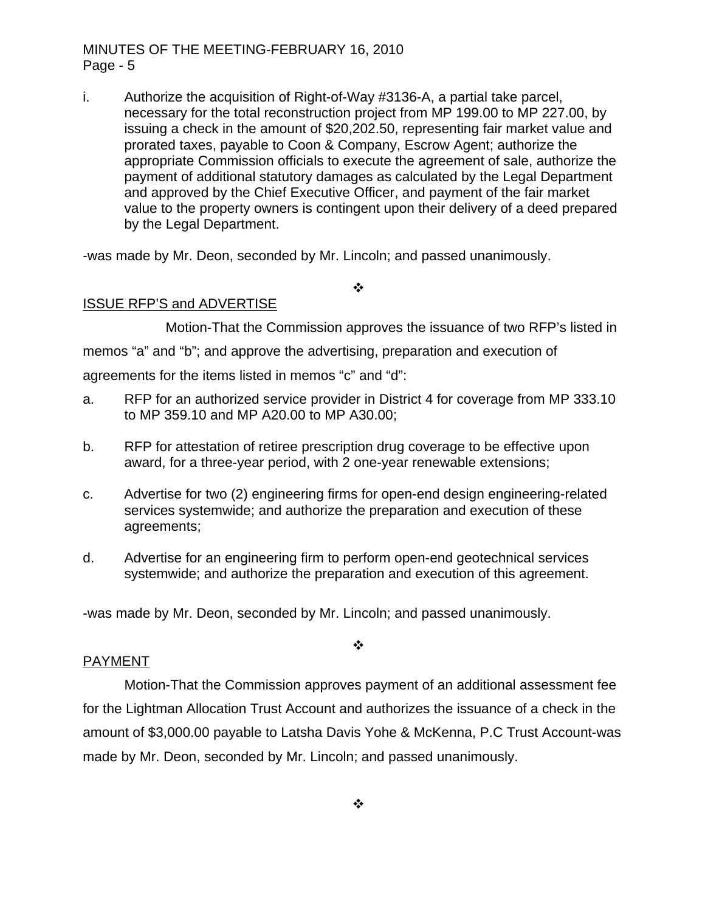i. Authorize the acquisition of Right-of-Way #3136-A, a partial take parcel, necessary for the total reconstruction project from MP 199.00 to MP 227.00, by issuing a check in the amount of \$20,202.50, representing fair market value and prorated taxes, payable to Coon & Company, Escrow Agent; authorize the appropriate Commission officials to execute the agreement of sale, authorize the payment of additional statutory damages as calculated by the Legal Department and approved by the Chief Executive Officer, and payment of the fair market value to the property owners is contingent upon their delivery of a deed prepared by the Legal Department.

-was made by Mr. Deon, seconded by Mr. Lincoln; and passed unanimously.

## ISSUE RFP'S and ADVERTISE

 Motion-That the Commission approves the issuance of two RFP's listed in memos "a" and "b"; and approve the advertising, preparation and execution of agreements for the items listed in memos "c" and "d":

❖

- a. RFP for an authorized service provider in District 4 for coverage from MP 333.10 to MP 359.10 and MP A20.00 to MP A30.00;
- b. RFP for attestation of retiree prescription drug coverage to be effective upon award, for a three-year period, with 2 one-year renewable extensions;
- c. Advertise for two (2) engineering firms for open-end design engineering-related services systemwide; and authorize the preparation and execution of these agreements;
- d. Advertise for an engineering firm to perform open-end geotechnical services systemwide; and authorize the preparation and execution of this agreement.

-was made by Mr. Deon, seconded by Mr. Lincoln; and passed unanimously.

#### PAYMENT

 Motion-That the Commission approves payment of an additional assessment fee for the Lightman Allocation Trust Account and authorizes the issuance of a check in the amount of \$3,000.00 payable to Latsha Davis Yohe & McKenna, P.C Trust Account-was made by Mr. Deon, seconded by Mr. Lincoln; and passed unanimously.

❖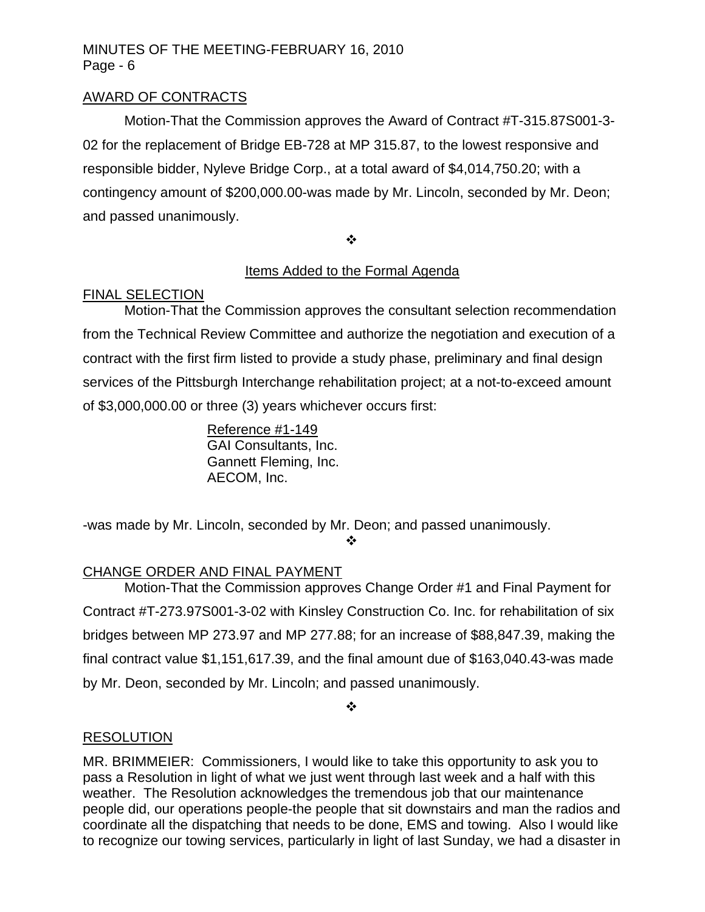# AWARD OF CONTRACTS

Motion-That the Commission approves the Award of Contract #T-315.87S001-3- 02 for the replacement of Bridge EB-728 at MP 315.87, to the lowest responsive and responsible bidder, Nyleve Bridge Corp., at a total award of \$4,014,750.20; with a contingency amount of \$200,000.00-was made by Mr. Lincoln, seconded by Mr. Deon; and passed unanimously.

❖

# Items Added to the Formal Agenda

## FINAL SELECTION

Motion-That the Commission approves the consultant selection recommendation from the Technical Review Committee and authorize the negotiation and execution of a contract with the first firm listed to provide a study phase, preliminary and final design services of the Pittsburgh Interchange rehabilitation project; at a not-to-exceed amount of \$3,000,000.00 or three (3) years whichever occurs first:

> Reference #1-149 GAI Consultants, Inc. Gannett Fleming, Inc. AECOM, Inc.

-was made by Mr. Lincoln, seconded by Mr. Deon; and passed unanimously.

❖

# CHANGE ORDER AND FINAL PAYMENT

Motion-That the Commission approves Change Order #1 and Final Payment for Contract #T-273.97S001-3-02 with Kinsley Construction Co. Inc. for rehabilitation of six bridges between MP 273.97 and MP 277.88; for an increase of \$88,847.39, making the final contract value \$1,151,617.39, and the final amount due of \$163,040.43-was made by Mr. Deon, seconded by Mr. Lincoln; and passed unanimously.

 $\cdot$ 

## RESOLUTION

MR. BRIMMEIER: Commissioners, I would like to take this opportunity to ask you to pass a Resolution in light of what we just went through last week and a half with this weather. The Resolution acknowledges the tremendous job that our maintenance people did, our operations people-the people that sit downstairs and man the radios and coordinate all the dispatching that needs to be done, EMS and towing. Also I would like to recognize our towing services, particularly in light of last Sunday, we had a disaster in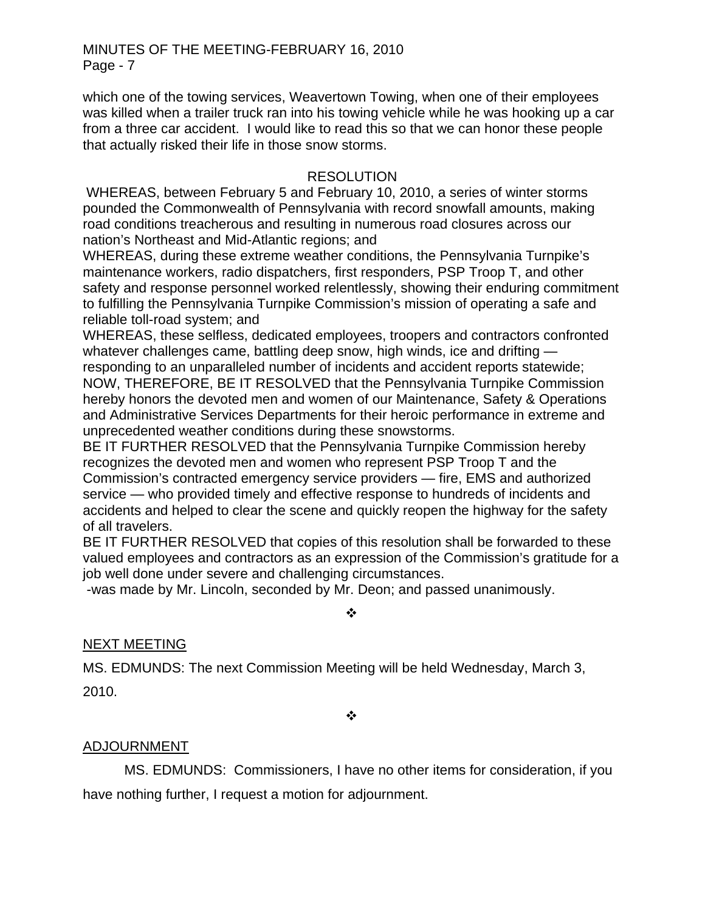which one of the towing services, Weavertown Towing, when one of their employees was killed when a trailer truck ran into his towing vehicle while he was hooking up a car from a three car accident. I would like to read this so that we can honor these people that actually risked their life in those snow storms.

## RESOLUTION

WHEREAS, between February 5 and February 10, 2010, a series of winter storms pounded the Commonwealth of Pennsylvania with record snowfall amounts, making road conditions treacherous and resulting in numerous road closures across our nation's Northeast and Mid-Atlantic regions; and

WHEREAS, during these extreme weather conditions, the Pennsylvania Turnpike's maintenance workers, radio dispatchers, first responders, PSP Troop T, and other safety and response personnel worked relentlessly, showing their enduring commitment to fulfilling the Pennsylvania Turnpike Commission's mission of operating a safe and reliable toll-road system; and

WHEREAS, these selfless, dedicated employees, troopers and contractors confronted whatever challenges came, battling deep snow, high winds, ice and drifting responding to an unparalleled number of incidents and accident reports statewide; NOW, THEREFORE, BE IT RESOLVED that the Pennsylvania Turnpike Commission hereby honors the devoted men and women of our Maintenance, Safety & Operations and Administrative Services Departments for their heroic performance in extreme and unprecedented weather conditions during these snowstorms.

BE IT FURTHER RESOLVED that the Pennsylvania Turnpike Commission hereby recognizes the devoted men and women who represent PSP Troop T and the Commission's contracted emergency service providers — fire, EMS and authorized service — who provided timely and effective response to hundreds of incidents and accidents and helped to clear the scene and quickly reopen the highway for the safety of all travelers.

BE IT FURTHER RESOLVED that copies of this resolution shall be forwarded to these valued employees and contractors as an expression of the Commission's gratitude for a job well done under severe and challenging circumstances.

-was made by Mr. Lincoln, seconded by Mr. Deon; and passed unanimously.

#### ❖

# NEXT MEETING

MS. EDMUNDS: The next Commission Meeting will be held Wednesday, March 3,

2010.

 $\frac{1}{2}$ 

# ADJOURNMENT

MS. EDMUNDS: Commissioners, I have no other items for consideration, if you have nothing further, I request a motion for adjournment.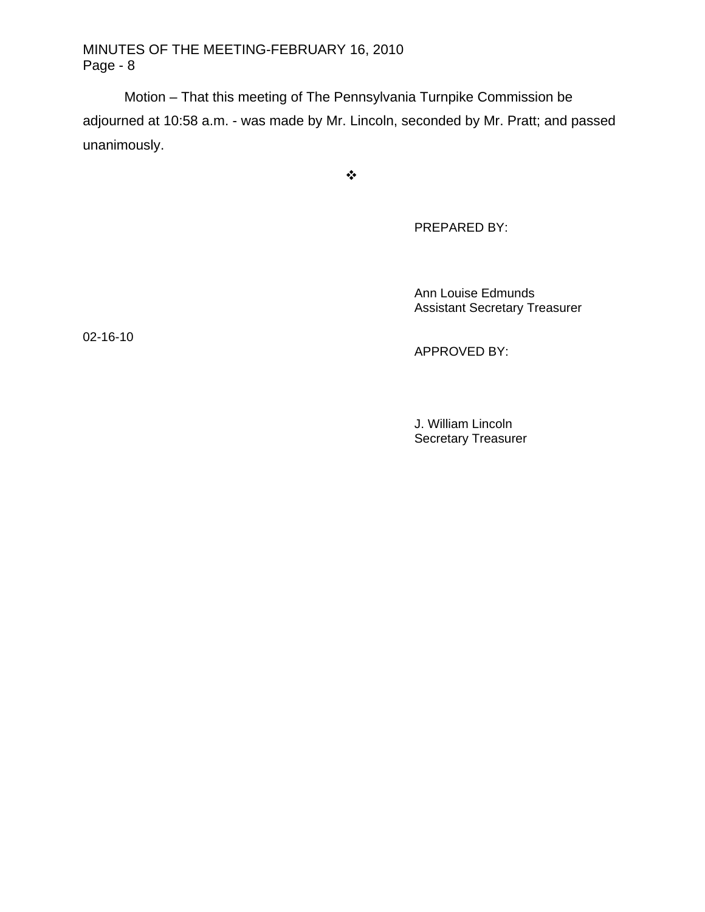Motion – That this meeting of The Pennsylvania Turnpike Commission be adjourned at 10:58 a.m. - was made by Mr. Lincoln, seconded by Mr. Pratt; and passed unanimously.

 $\bullet^{\bullet}_{\bullet} \bullet$ 

PREPARED BY:

 Ann Louise Edmunds Assistant Secretary Treasurer

02-16-10

APPROVED BY:

 J. William Lincoln Secretary Treasurer